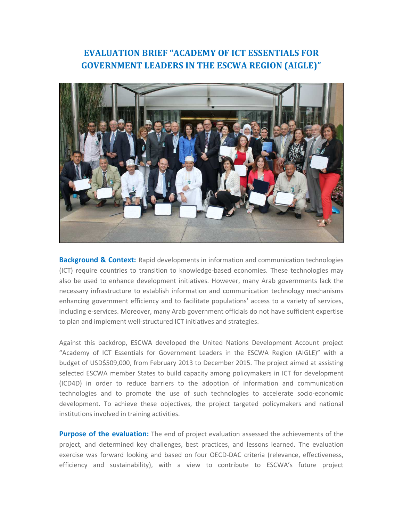## **EVALUATION BRIEF "ACADEMY OF ICT ESSENTIALS FOR GOVERNMENT LEADERS IN THE ESCWA REGION (AIGLE)"**



**Background & Context:** Rapid developments in information and communication technologies (ICT) require countries to transition to knowledge-based economies. These technologies may also be used to enhance development initiatives. However, many Arab governments lack the necessary infrastructure to establish information and communication technology mechanisms enhancing government efficiency and to facilitate populations' access to a variety of services, including e-services. Moreover, many Arab government officials do not have sufficient expertise to plan and implement well-structured ICT initiatives and strategies.

Against this backdrop, ESCWA developed the United Nations Development Account project "Academy of ICT Essentials for Government Leaders in the ESCWA Region (AIGLE)" with a budget of USD\$509,000, from February 2013 to December 2015. The project aimed at assisting selected ESCWA member States to build capacity among policymakers in ICT for development (ICD4D) in order to reduce barriers to the adoption of information and communication technologies and to promote the use of such technologies to accelerate socio-economic development. To achieve these objectives, the project targeted policymakers and national institutions involved in training activities.

**Purpose of the evaluation:** The end of project evaluation assessed the achievements of the project, and determined key challenges, best practices, and lessons learned. The evaluation exercise was forward looking and based on four OECD-DAC criteria (relevance, effectiveness, efficiency and sustainability), with a view to contribute to ESCWA's future project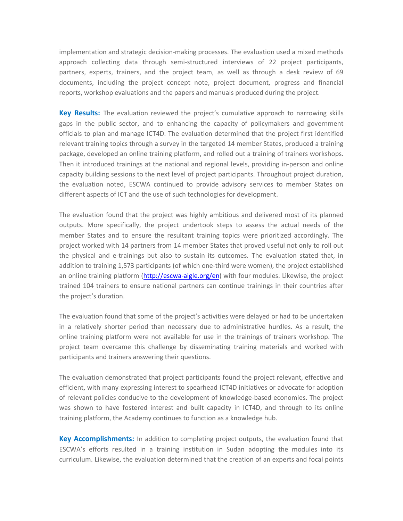implementation and strategic decision-making processes. The evaluation used a mixed methods approach collecting data through semi-structured interviews of 22 project participants, partners, experts, trainers, and the project team, as well as through a desk review of 69 documents, including the project concept note, project document, progress and financial reports, workshop evaluations and the papers and manuals produced during the project.

**Key Results:** The evaluation reviewed the project's cumulative approach to narrowing skills gaps in the public sector, and to enhancing the capacity of policymakers and government officials to plan and manage ICT4D. The evaluation determined that the project first identified relevant training topics through a survey in the targeted 14 member States, produced a training package, developed an online training platform, and rolled out a training of trainers workshops. Then it introduced trainings at the national and regional levels, providing in-person and online capacity building sessions to the next level of project participants. Throughout project duration, the evaluation noted, ESCWA continued to provide advisory services to member States on different aspects of ICT and the use of such technologies for development.

The evaluation found that the project was highly ambitious and delivered most of its planned outputs. More specifically, the project undertook steps to assess the actual needs of the member States and to ensure the resultant training topics were prioritized accordingly. The project worked with 14 partners from 14 member States that proved useful not only to roll out the physical and e-trainings but also to sustain its outcomes. The evaluation stated that, in addition to training 1,573 participants (of which one-third were women), the project established an online training platform (http://escwa-aigle.org/en) with four modules. Likewise, the project trained 104 trainers to ensure national partners can continue trainings in their countries after the project's duration.

The evaluation found that some of the project's activities were delayed or had to be undertaken in a relatively shorter period than necessary due to administrative hurdles. As a result, the online training platform were not available for use in the trainings of trainers workshop. The project team overcame this challenge by disseminating training materials and worked with participants and trainers answering their questions.

The evaluation demonstrated that project participants found the project relevant, effective and efficient, with many expressing interest to spearhead ICT4D initiatives or advocate for adoption of relevant policies conducive to the development of knowledge-based economies. The project was shown to have fostered interest and built capacity in ICT4D, and through to its online training platform, the Academy continues to function as a knowledge hub.

**Key Accomplishments:** In addition to completing project outputs, the evaluation found that ESCWA's efforts resulted in a training institution in Sudan adopting the modules into its curriculum. Likewise, the evaluation determined that the creation of an experts and focal points